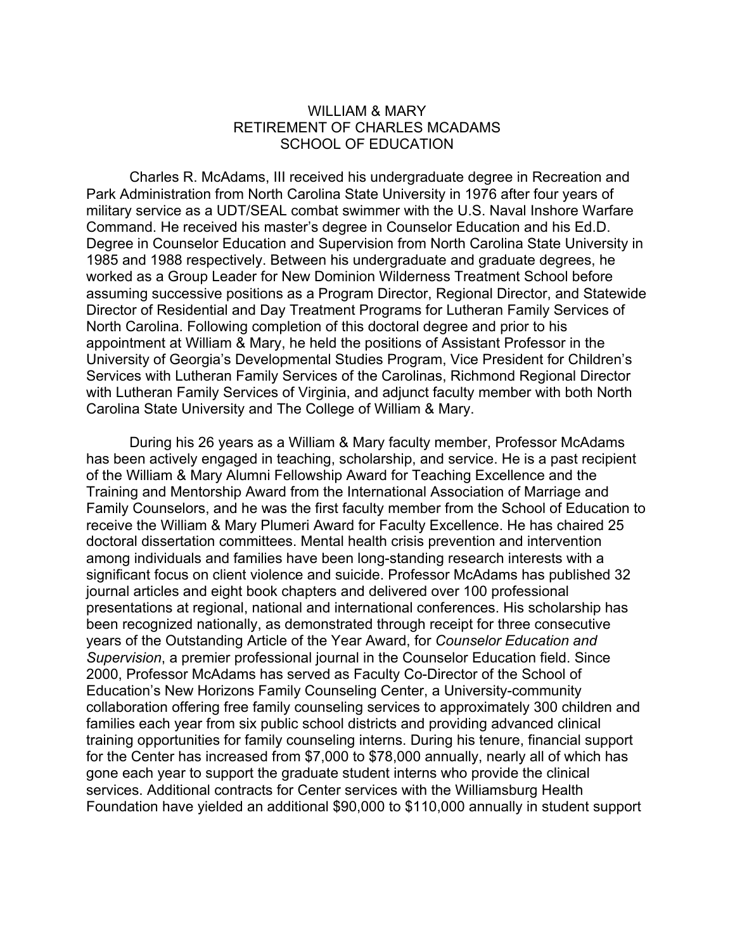## WILLIAM & MARY RETIREMENT OF CHARLES MCADAMS SCHOOL OF EDUCATION

Charles R. McAdams, III received his undergraduate degree in Recreation and Park Administration from North Carolina State University in 1976 after four years of military service as a UDT/SEAL combat swimmer with the U.S. Naval Inshore Warfare Command. He received his master's degree in Counselor Education and his Ed.D. Degree in Counselor Education and Supervision from North Carolina State University in 1985 and 1988 respectively. Between his undergraduate and graduate degrees, he worked as a Group Leader for New Dominion Wilderness Treatment School before assuming successive positions as a Program Director, Regional Director, and Statewide Director of Residential and Day Treatment Programs for Lutheran Family Services of North Carolina. Following completion of this doctoral degree and prior to his appointment at William & Mary, he held the positions of Assistant Professor in the University of Georgia's Developmental Studies Program, Vice President for Children's Services with Lutheran Family Services of the Carolinas, Richmond Regional Director with Lutheran Family Services of Virginia, and adjunct faculty member with both North Carolina State University and The College of William & Mary.

During his 26 years as a William & Mary faculty member, Professor McAdams has been actively engaged in teaching, scholarship, and service. He is a past recipient of the William & Mary Alumni Fellowship Award for Teaching Excellence and the Training and Mentorship Award from the International Association of Marriage and Family Counselors, and he was the first faculty member from the School of Education to receive the William & Mary Plumeri Award for Faculty Excellence. He has chaired 25 doctoral dissertation committees. Mental health crisis prevention and intervention among individuals and families have been long-standing research interests with a significant focus on client violence and suicide. Professor McAdams has published 32 journal articles and eight book chapters and delivered over 100 professional presentations at regional, national and international conferences. His scholarship has been recognized nationally, as demonstrated through receipt for three consecutive years of the Outstanding Article of the Year Award, for *Counselor Education and Supervision*, a premier professional journal in the Counselor Education field. Since 2000, Professor McAdams has served as Faculty Co-Director of the School of Education's New Horizons Family Counseling Center, a University-community collaboration offering free family counseling services to approximately 300 children and families each year from six public school districts and providing advanced clinical training opportunities for family counseling interns. During his tenure, financial support for the Center has increased from \$7,000 to \$78,000 annually, nearly all of which has gone each year to support the graduate student interns who provide the clinical services. Additional contracts for Center services with the Williamsburg Health Foundation have yielded an additional \$90,000 to \$110,000 annually in student support